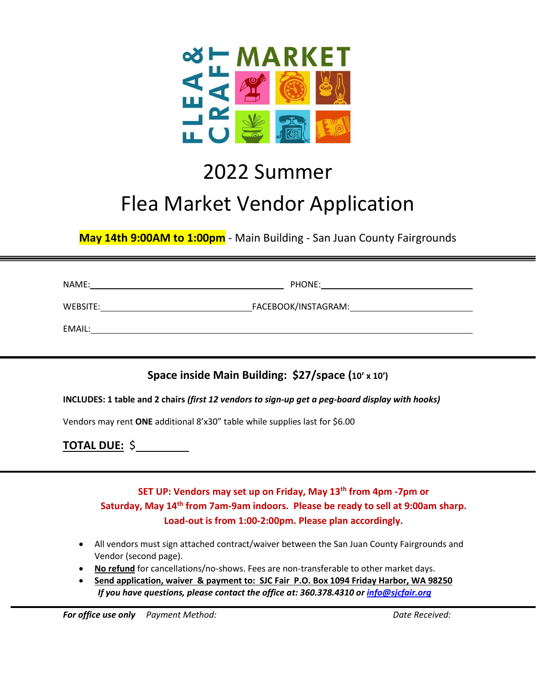

## 2022 Summer Flea Market Vendor Application

**May 14th 9:00AM to 1:00pm** - Main Building - San Juan County Fairgrounds

NAME: PHONE:

WEBSITE: FACEBOOK/INSTAGRAM:

EMAIL:

**Space inside Main Building: \$27/space (10' x 10')**

**INCLUDES: 1 table and 2 chairs** *(first 12 vendors to sign-up get a peg-board display with hooks)*

Vendors may rent **ONE** additional 8'x30" table while supplies last for \$6.00

**TOTAL DUE:** \$

**SET UP: Vendors may set up on Friday, May 13th from 4pm -7pm or Saturday, May 14th from 7am-9am indoors. Please be ready to sell at 9:00am sharp. Load-out is from 1:00-2:00pm. Please plan accordingly.**

- All vendors must sign attached contract/waiver between the San Juan County Fairgrounds and Vendor (second page).
- **No refund** for cancellations/no-shows. Fees are non-transferable to other market days.
- **Send application, waiver & payment to: SJC Fair P.O. Box 1094 Friday Harbor, WA 98250**  *If you have questions, please contact the office at: 360.378.4310 or [info@sjcfair.org](mailto:info@sjcfair.org)*